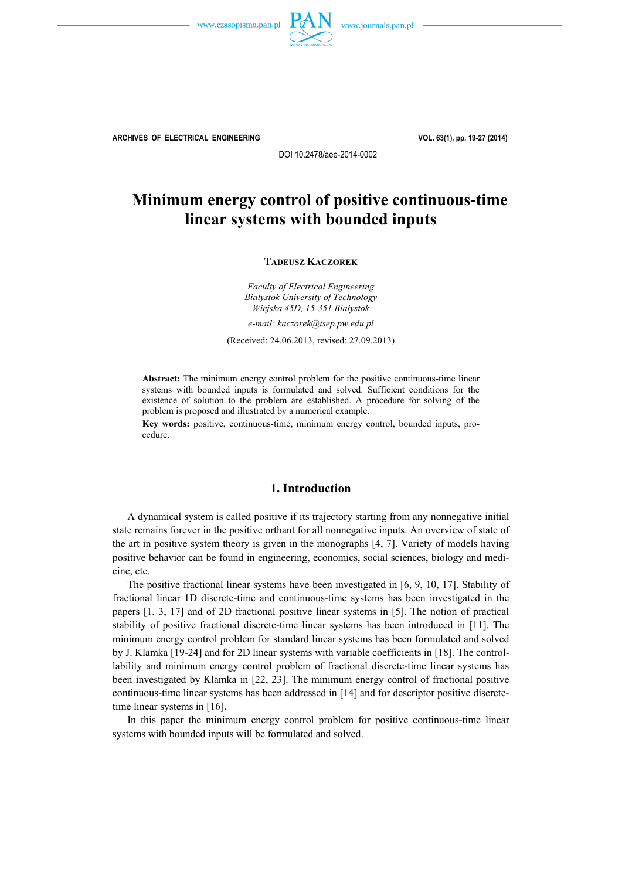



**ARCHIVES OF ELECTRICAL ENGINEERING VOL. 63(1), pp. 19-27 (2014)**

DOI 10.2478/aee-2014-0002

# **Minimum energy control of positive continuous-time linear systems with bounded inputs**

**TADEUSZ KACZOREK**

*Faculty of Electrical Engineering Bialystok University of Technology Wiejska 45D, 15-351 Białystok* 

*e-mail: kaczorek@isep.pw.edu.pl* 

(Received: 24.06.2013, revised: 27.09.2013)

**Abstract:** The minimum energy control problem for the positive continuous-time linear systems with bounded inputs is formulated and solved. Sufficient conditions for the existence of solution to the problem are established. A procedure for solving of the problem is proposed and illustrated by a numerical example.

**Key words:** positive, continuous-time, minimum energy control, bounded inputs, procedure.

## **1. Introduction**

 A dynamical system is called positive if its trajectory starting from any nonnegative initial state remains forever in the positive orthant for all nonnegative inputs. An overview of state of the art in positive system theory is given in the monographs [4, 7]. Variety of models having positive behavior can be found in engineering, economics, social sciences, biology and medicine, etc.

 The positive fractional linear systems have been investigated in [6, 9, 10, 17]. Stability of fractional linear 1D discrete-time and continuous-time systems has been investigated in the papers [1, 3, 17] and of 2D fractional positive linear systems in [5]. The notion of practical stability of positive fractional discrete-time linear systems has been introduced in [11]. The minimum energy control problem for standard linear systems has been formulated and solved by J. Klamka [19-24] and for 2D linear systems with variable coefficients in [18]. The controllability and minimum energy control problem of fractional discrete-time linear systems has been investigated by Klamka in [22, 23]. The minimum energy control of fractional positive continuous-time linear systems has been addressed in [14] and for descriptor positive discretetime linear systems in [16].

 In this paper the minimum energy control problem for positive continuous-time linear systems with bounded inputs will be formulated and solved.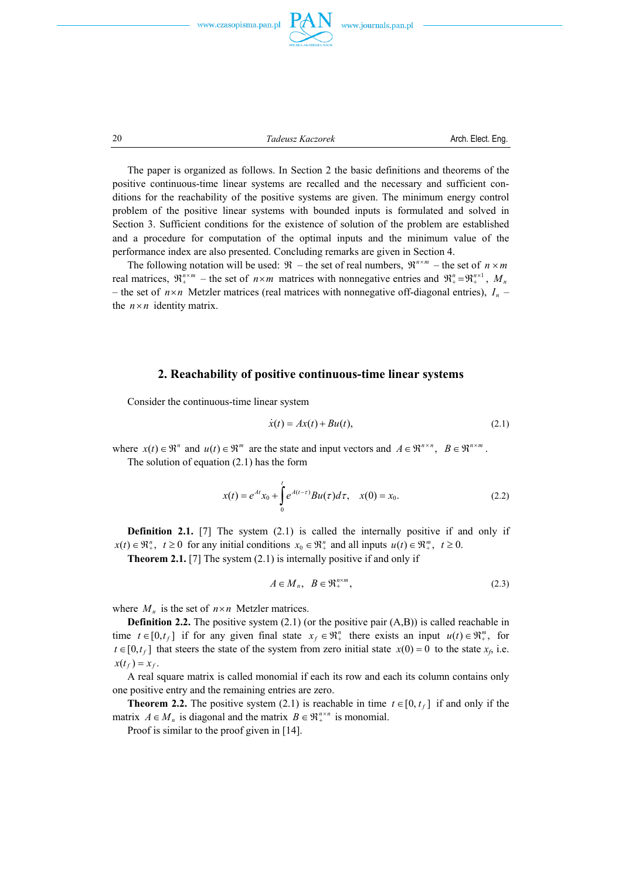



20 *Tadeusz Kaczorek* **Arch. Elect. Eng.** *CO* 

 The paper is organized as follows. In Section 2 the basic definitions and theorems of the positive continuous-time linear systems are recalled and the necessary and sufficient conditions for the reachability of the positive systems are given. The minimum energy control problem of the positive linear systems with bounded inputs is formulated and solved in Section 3. Sufficient conditions for the existence of solution of the problem are established and a procedure for computation of the optimal inputs and the minimum value of the performance index are also presented. Concluding remarks are given in Section 4.

The following notation will be used:  $\Re$  – the set of real numbers,  $\Re^{n \times m}$  – the set of  $n \times m$ real matrices,  $\mathfrak{R}^{n \times m}_{+}$  – the set of  $n \times m$  matrices with nonnegative entries and  $\mathfrak{R}^{n}_{+} = \mathfrak{R}^{n \times 1}_{+}$ ,  $M_{n}$ – the set of  $n \times n$  Metzler matrices (real matrices with nonnegative off-diagonal entries),  $I_n$  – the  $n \times n$  identity matrix.

### **2. Reachability of positive continuous-time linear systems**

Consider the continuous-time linear system

$$
\dot{x}(t) = Ax(t) + Bu(t),\tag{2.1}
$$

where  $x(t) \in \mathbb{R}^n$  and  $u(t) \in \mathbb{R}^m$  are the state and input vectors and  $A \in \mathbb{R}^{n \times n}$ ,  $B \in \mathbb{R}^{n \times m}$ . The solution of equation (2.1) has the form

$$
x(t) = e^{At}x_0 + \int_0^t e^{A(t-\tau)}Bu(\tau)d\tau, \quad x(0) = x_0.
$$
 (2.2)

**Definition 2.1.** [7] The system (2.1) is called the internally positive if and only if  $x(t) \in \mathbb{R}^n_+$ ,  $t \ge 0$  for any initial conditions  $x_0 \in \mathbb{R}^n_+$  and all inputs  $u(t) \in \mathbb{R}^m_+$ ,  $t \ge 0$ .

**Theorem 2.1.** [7] The system (2.1) is internally positive if and only if

$$
A \in M_n, \quad B \in \mathfrak{R}_+^{n \times m},\tag{2.3}
$$

where  $M_n$  is the set of  $n \times n$  Metzler matrices.

**Definition 2.2.** The positive system (2.1) (or the positive pair (A,B)) is called reachable in time  $t \in [0, t_f]$  if for any given final state  $x_f \in \mathbb{R}^n_+$  there exists an input  $u(t) \in \mathbb{R}^m_+$ , for  $t \in [0, t_f]$  that steers the state of the system from zero initial state *x*(0) = 0 to the state *x<sub>f</sub>*, i.e.  $x(t_f) = x_f$ .

 A real square matrix is called monomial if each its row and each its column contains only one positive entry and the remaining entries are zero.

**Theorem 2.2.** The positive system (2.1) is reachable in time  $t \in [0, t_f]$  if and only if the matrix  $A \in M_n$  is diagonal and the matrix  $B \in \mathbb{R}^{n \times n}$  is monomial.

Proof is similar to the proof given in [14].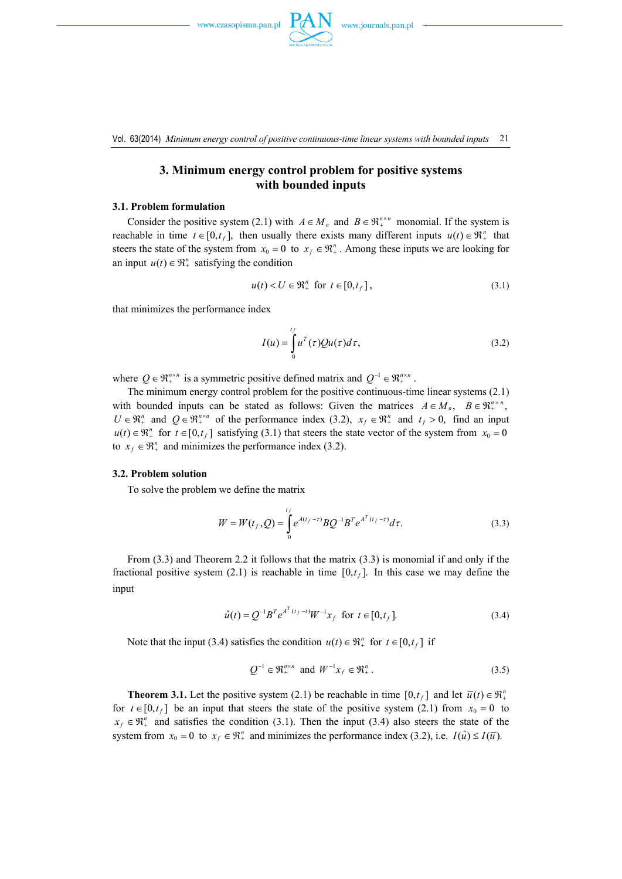

Vol. 63(2014) *Minimum energy control of positive continuous-time linear systems with bounded inputs* 21

# **3. Minimum energy control problem for positive systems with bounded inputs**

#### **3.1. Problem formulation**

Consider the positive system (2.1) with  $A \in M_n$  and  $B \in \mathbb{R}^{n \times n}_{+}$  monomial. If the system is reachable in time  $t \in [0, t_f]$ , then usually there exists many different inputs  $u(t) \in \mathbb{R}^n_+$  that steers the state of the system from  $x_0 = 0$  to  $x_f \in \mathbb{R}^n_+$ . Among these inputs we are looking for an input  $u(t) \in \mathbb{R}^n_+$  satisfying the condition

$$
u(t) < U \in \mathfrak{R}_+^n \quad \text{for} \quad t \in [0, t_f], \tag{3.1}
$$

that minimizes the performance index

$$
I(u) = \int_0^{t_f} u^T(\tau) Qu(\tau) d\tau,
$$
\n(3.2)

where  $Q \in \mathbb{R}^{n \times n}$  is a symmetric positive defined matrix and  $Q^{-1} \in \mathbb{R}^{n \times n}$ .

 The minimum energy control problem for the positive continuous-time linear systems (2.1) with bounded inputs can be stated as follows: Given the matrices  $A \in M_n$ ,  $B \in \mathbb{R}^{n \times n}$ ,  $U \in \mathbb{R}^n_+$  and  $Q \in \mathbb{R}^{n \times n}_+$  of the performance index (3.2),  $x_f \in \mathbb{R}^n_+$  and  $t_f > 0$ , find an input  $u(t) \in \mathbb{R}^n_+$  for  $t \in [0, t_f]$  satisfying (3.1) that steers the state vector of the system from  $x_0 = 0$ to  $x_f \in \mathbb{R}^n_+$  and minimizes the performance index (3.2).

### **3.2. Problem solution**

To solve the problem we define the matrix

$$
W = W(t_f, Q) = \int_{0}^{t_f} e^{A(t_f - \tau)} B Q^{-1} B^T e^{A^T(t_f - \tau)} d\tau.
$$
 (3.3)

 From (3.3) and Theorem 2.2 it follows that the matrix (3.3) is monomial if and only if the fractional positive system (2.1) is reachable in time  $[0, t_f]$ . In this case we may define the input

$$
\hat{u}(t) = Q^{-1}B^T e^{A^T(t_f - t)} W^{-1} x_f \text{ for } t \in [0, t_f].
$$
\n(3.4)

Note that the input (3.4) satisfies the condition  $u(t) \in \mathbb{R}^n_+$  for  $t \in [0, t_f]$  if

$$
Q^{-1} \in \mathfrak{R}_+^{n \times n} \text{ and } W^{-1} x_f \in \mathfrak{R}_+^n. \tag{3.5}
$$

**Theorem 3.1.** Let the positive system (2.1) be reachable in time  $[0,t_f]$  and let  $\overline{u}(t) \in \mathbb{R}^n_+$ for  $t \in [0, t_f]$  be an input that steers the state of the positive system (2.1) from  $x_0 = 0$  to  $x_f \in \mathbb{R}^n_+$  and satisfies the condition (3.1). Then the input (3.4) also steers the state of the system from  $x_0 = 0$  to  $x_f \in \mathbb{R}^n_+$  and minimizes the performance index (3.2), i.e.  $I(\hat{u}) \leq I(\overline{u})$ .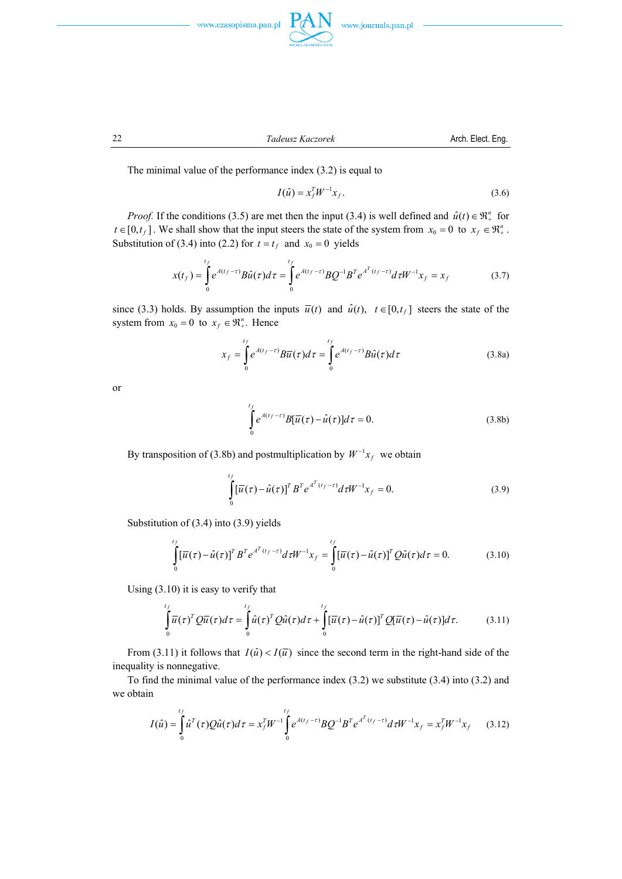



22 *Tadeusz Kaczorek* Arch. Elect. Eng.



The minimal value of the performance index (3.2) is equal to

$$
I(\hat{u}) = x_f^T W^{-1} x_f.
$$
 (3.6)

*Proof.* If the conditions (3.5) are met then the input (3.4) is well defined and  $\hat{u}(t) \in \mathbb{R}^n_+$  for  $t \in [0, t_f]$ . We shall show that the input steers the state of the system from  $x_0 = 0$  to  $x_f \in \mathbb{R}^n_+$ . Substitution of (3.4) into (2.2) for  $t = t_f$  and  $x_0 = 0$  yields

$$
x(t_f) = \int_0^{t_f} e^{A(t_f - \tau)} B \hat{u}(\tau) d\tau = \int_0^{t_f} e^{A(t_f - \tau)} B Q^{-1} B^T e^{A^T (t_f - \tau)} d\tau W^{-1} x_f = x_f
$$
(3.7)

since (3.3) holds. By assumption the inputs  $\bar{u}(t)$  and  $\hat{u}(t)$ ,  $t \in [0, t_f]$  steers the state of the system from  $x_0 = 0$  to  $x_f \in \mathbb{R}^n_+$ . Hence

$$
x_f = \int_0^{t_f} e^{A(t_f - \tau)} B \overline{u}(\tau) d\tau = \int_0^{t_f} e^{A(t_f - \tau)} B \hat{u}(\tau) d\tau
$$
 (3.8a)

or

$$
\int_{0}^{t_f} e^{A(t_f - \tau)} B[\overline{u}(\tau) - \hat{u}(\tau)] d\tau = 0.
$$
\n(3.8b)

By transposition of (3.8b) and postmultiplication by  $W^{-1}x_f$  we obtain

$$
\int_{0}^{t_f} \left[\overline{u}(\tau) - \hat{u}(\tau)\right]^T B^T e^{A^T(t_f - \tau)} d\tau W^{-1} x_f = 0.
$$
\n(3.9)

Substitution of (3.4) into (3.9) yields

$$
\int_{0}^{t_f} [\overline{u}(\tau) - \hat{u}(\tau)]^T B^T e^{A^T(t_f - \tau)} d\tau W^{-1} x_f = \int_{0}^{t_f} [\overline{u}(\tau) - \hat{u}(\tau)]^T Q \hat{u}(\tau) d\tau = 0.
$$
 (3.10)

Using (3.10) it is easy to verify that

$$
\int_{0}^{t_f} \overline{u}(\tau)^T Q \overline{u}(\tau) d\tau = \int_{0}^{t_f} \hat{u}(\tau)^T Q \hat{u}(\tau) d\tau + \int_{0}^{t_f} [\overline{u}(\tau) - \hat{u}(\tau)]^T Q [\overline{u}(\tau) - \hat{u}(\tau)] d\tau.
$$
 (3.11)

From (3.11) it follows that  $I(\hat{u}) < I(\overline{u})$  since the second term in the right-hand side of the inequality is nonnegative.

 To find the minimal value of the performance index (3.2) we substitute (3.4) into (3.2) and we obtain

$$
I(\hat{u}) = \int_{0}^{t_f} \hat{u}^T(\tau) Q \hat{u}(\tau) d\tau = x_f^T W^{-1} \int_{0}^{t_f} e^{A(t_f - \tau)} B Q^{-1} B^T e^{A^T(t_f - \tau)} d\tau W^{-1} x_f = x_f^T W^{-1} x_f
$$
 (3.12)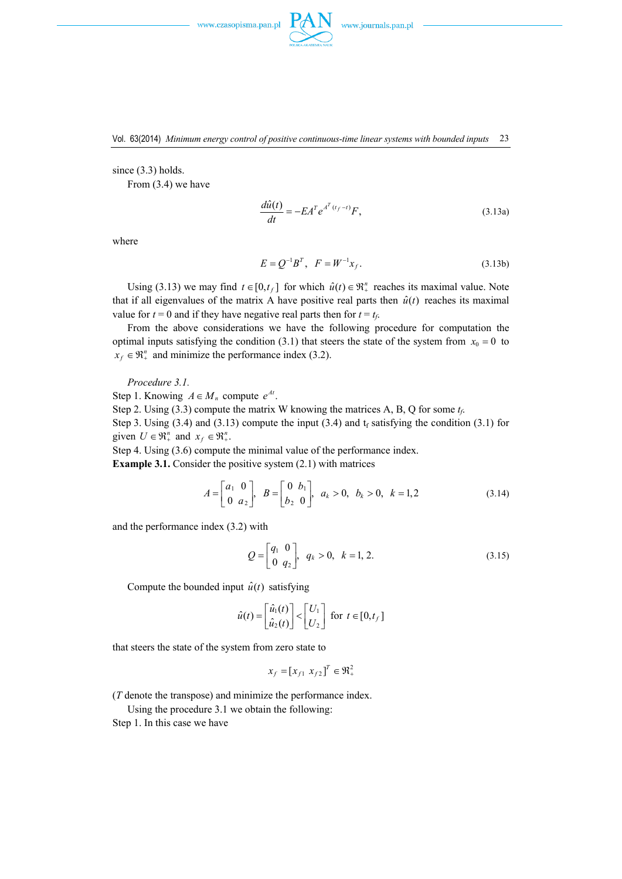

since (3.3) holds.

From (3.4) we have

$$
\frac{d\hat{u}(t)}{dt} = -EA^T e^{A^T(t_f - t)}F,
$$
\n(3.13a)

where

$$
E = Q^{-1}B^{T}, \quad F = W^{-1}x_{f}.
$$
 (3.13b)

Using (3.13) we may find  $t \in [0, t_f]$  for which  $\hat{u}(t) \in \mathbb{R}^n_+$  reaches its maximal value. Note that if all eigenvalues of the matrix A have positive real parts then  $\hat{u}(t)$  reaches its maximal value for  $t = 0$  and if they have negative real parts then for  $t = t_f$ .

 From the above considerations we have the following procedure for computation the optimal inputs satisfying the condition (3.1) that steers the state of the system from  $x_0 = 0$  to  $x_f \in \mathfrak{R}_+^n$  and minimize the performance index (3.2).

*Procedure 3.1.* 

Step 1. Knowing  $A \in M_n$  compute  $e^{At}$ .

Step 2. Using (3.3) compute the matrix W knowing the matrices A, B, Q for some *tf*.

Step 3. Using (3.4) and (3.13) compute the input (3.4) and  $t_f$  satisfying the condition (3.1) for given  $U \in \mathbb{R}^n_+$  and  $x_f \in \mathbb{R}^n_+$ .

Step 4. Using (3.6) compute the minimal value of the performance index.

**Example 3.1.** Consider the positive system  $(2.1)$  with matrices

$$
A = \begin{bmatrix} a_1 & 0 \\ 0 & a_2 \end{bmatrix}, B = \begin{bmatrix} 0 & b_1 \\ b_2 & 0 \end{bmatrix}, a_k > 0, b_k > 0, k = 1, 2
$$
 (3.14)

and the performance index (3.2) with

$$
Q = \begin{bmatrix} q_1 & 0 \\ 0 & q_2 \end{bmatrix}, q_k > 0, k = 1, 2.
$$
 (3.15)

Compute the bounded input  $\hat{u}(t)$  satisfying

$$
\hat{u}(t) = \begin{bmatrix} \hat{u}_1(t) \\ \hat{u}_2(t) \end{bmatrix} < \begin{bmatrix} U_1 \\ U_2 \end{bmatrix}
$$
 for  $t \in [0, t_f]$ 

that steers the state of the system from zero state to

$$
x_f = [x_{f1} \ x_{f2}]^T \in \mathfrak{R}_+^2
$$

(*T* denote the transpose) and minimize the performance index.

Using the procedure 3.1 we obtain the following:

Step 1. In this case we have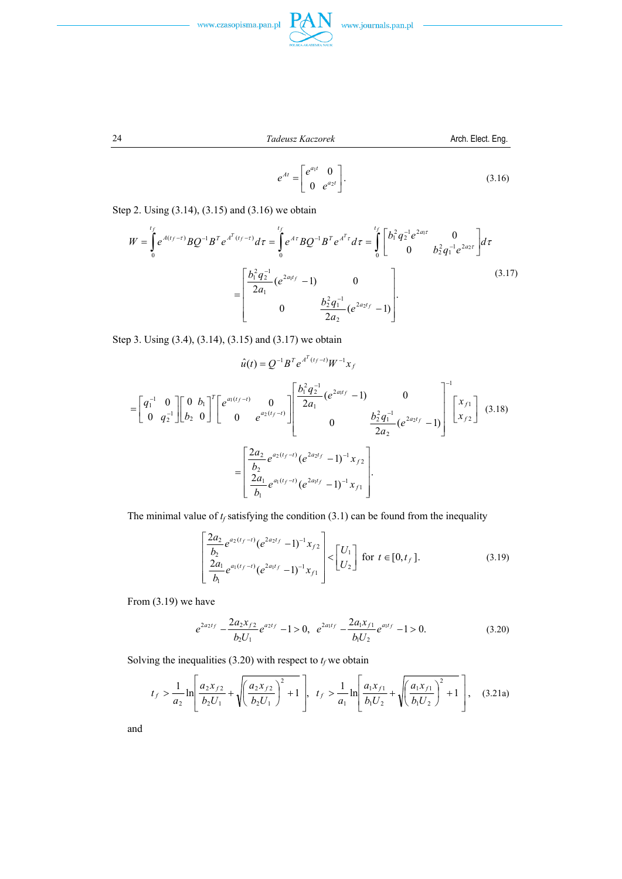



$$
f_{\rm{max}}
$$

24 *Tadeusz Kaczorek* Arch. Elect. Eng.

$$
e^{At} = \begin{bmatrix} e^{a_1 t} & 0 \\ 0 & e^{a_2 t} \end{bmatrix}.
$$
 (3.16)

Step 2. Using (3.14), (3.15) and (3.16) we obtain

$$
W = \int_{0}^{t_f} e^{A(t_f - \tau)} B Q^{-1} B^T e^{A^T (t_f - \tau)} d\tau = \int_{0}^{t_f} e^{A\tau} B Q^{-1} B^T e^{A^T \tau} d\tau = \int_{0}^{t_f} \left[ \frac{b_1^2 q_2^{-1} e^{2a_1 \tau}}{0} \frac{b_2^2 q_1^{-1} e^{2a_2 \tau}}{b_2^2 q_1^{-1} e^{2a_2 \tau}} \right] d\tau
$$

$$
= \left[ \frac{b_1^2 q_2^{-1}}{2a_1} (e^{2a_1 t_f} - 1) \frac{b_2^2 q_1^{-1}}{2a_2} (e^{2a_2 t_f} - 1) \right].
$$
(3.17)

Step 3. Using (3.4), (3.14), (3.15) and (3.17) we obtain

$$
\hat{u}(t) = Q^{-1}B^{T}e^{A^{T}(t_{f}-t)}W^{-1}x_{f}
$$
\n
$$
= \begin{bmatrix} q_{1}^{-1} & 0 \\ 0 & q_{2}^{-1} \end{bmatrix} \begin{bmatrix} 0 & b_{1} \\ b_{2} & 0 \end{bmatrix}^{T} \begin{bmatrix} e^{a_{1}(t_{f}-t)} & 0 \\ 0 & e^{a_{2}(t_{f}-t)} \end{bmatrix} \begin{bmatrix} \frac{b_{1}^{2}q_{2}^{-1}}{2a_{1}}(e^{2a_{1}t_{f}}-1) & 0 \\ 0 & \frac{b_{2}^{2}q_{1}^{-1}}{2a_{2}}(e^{2a_{2}t_{f}}-1) \end{bmatrix}^{-1} \begin{bmatrix} x_{f1} \\ x_{f2} \end{bmatrix}
$$
\n
$$
= \begin{bmatrix} \frac{2a_{2}}{b_{2}}e^{a_{2}(t_{f}-t)}(e^{2a_{2}t_{f}}-1)^{-1}x_{f2} \\ \frac{2a_{1}}{b_{1}}e^{a_{1}(t_{f}-t)}(e^{2a_{1}t_{f}}-1)^{-1}x_{f1} \end{bmatrix}.
$$
\n(3.18)

The minimal value of  $t_f$  satisfying the condition (3.1) can be found from the inequality

$$
\left[\frac{2a_2}{b_2}e^{a_2(t_f-t)}(e^{2a_2t_f}-1)^{-1}x_{f2}\right] < \left[U_1\atop U_2\right] \text{ for } t \in [0,t_f].
$$
\n(3.19)

From (3.19) we have

$$
e^{2a_2t_f} - \frac{2a_2x_{f2}}{b_2U_1}e^{a_2t_f} - 1 > 0, \quad e^{2a_1t_f} - \frac{2a_1x_{f1}}{b_1U_2}e^{a_1t_f} - 1 > 0.
$$
 (3.20)

Solving the inequalities (3.20) with respect to  $t_f$  we obtain

$$
t_f > \frac{1}{a_2} \ln \left[ \frac{a_2 x_{f2}}{b_2 U_1} + \sqrt{\left(\frac{a_2 x_{f2}}{b_2 U_1}\right)^2 + 1} \right], t_f > \frac{1}{a_1} \ln \left[ \frac{a_1 x_{f1}}{b_1 U_2} + \sqrt{\left(\frac{a_1 x_{f1}}{b_1 U_2}\right)^2 + 1} \right], (3.21a)
$$

and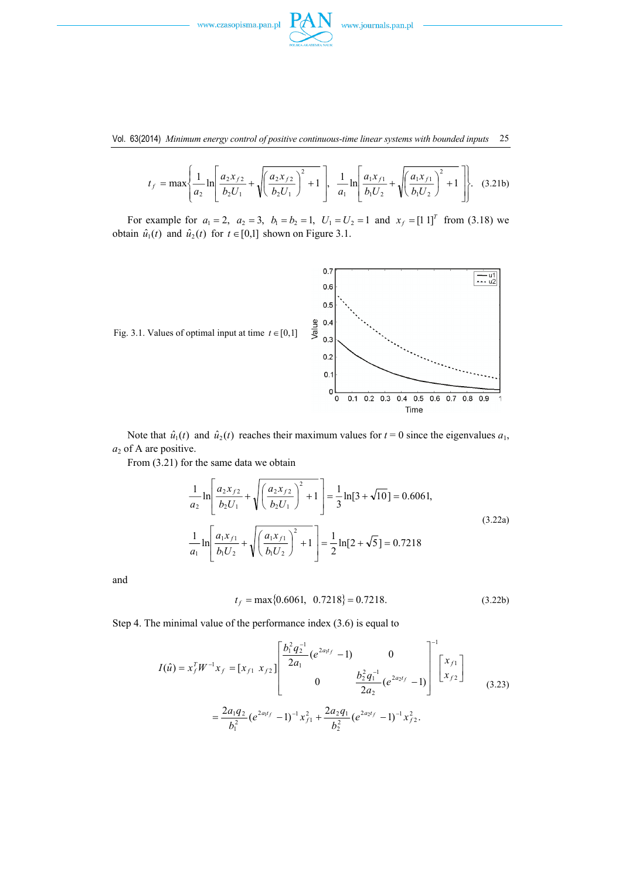

Vol. 63(2014) *Minimum energy control of positive continuous-time linear systems with bounded inputs* 25

$$
t_f = \max\left\{\frac{1}{a_2}\ln\left[\frac{a_2x_{f2}}{b_2U_1} + \sqrt{\left(\frac{a_2x_{f2}}{b_2U_1}\right)^2 + 1}\right], \frac{1}{a_1}\ln\left[\frac{a_1x_{f1}}{b_1U_2} + \sqrt{\left(\frac{a_1x_{f1}}{b_1U_2}\right)^2 + 1}\right]\right\}.
$$
 (3.21b)

For example for  $a_1 = 2$ ,  $a_2 = 3$ ,  $b_1 = b_2 = 1$ ,  $U_1 = U_2 = 1$  and  $x_f = \begin{bmatrix} 1 & 1 \end{bmatrix}^T$  from (3.18) we obtain  $\hat{u}_1(t)$  and  $\hat{u}_2(t)$  for  $t \in [0,1]$  shown on Figure 3.1.



Note that  $\hat{u}_1(t)$  and  $\hat{u}_2(t)$  reaches their maximum values for  $t = 0$  since the eigenvalues  $a_1$ , *a*2 of A are positive.

From (3.21) for the same data we obtain

$$
\frac{1}{a_2} \ln \left[ \frac{a_2 x_{f2}}{b_2 U_1} + \sqrt{\left(\frac{a_2 x_{f2}}{b_2 U_1}\right)^2 + 1} \right] = \frac{1}{3} \ln [3 + \sqrt{10}] = 0.6061,
$$
\n
$$
\frac{1}{a_1} \ln \left[ \frac{a_1 x_{f1}}{b_1 U_2} + \sqrt{\left(\frac{a_1 x_{f1}}{b_1 U_2}\right)^2 + 1} \right] = \frac{1}{2} \ln [2 + \sqrt{5}] = 0.7218
$$
\n(3.22a)

and

$$
t_f = \max\{0.6061, 0.7218\} = 0.7218. \tag{3.22b}
$$

Step 4. The minimal value of the performance index (3.6) is equal to

$$
I(\hat{u}) = x_f^T W^{-1} x_f = [x_{f1} \ x_{f2}] \begin{bmatrix} \frac{b_1^2 q_2^{-1}}{2a_1} (e^{2a_1 t_f} - 1) & 0 \\ 0 & \frac{b_2^2 q_1^{-1}}{2a_2} (e^{2a_2 t_f} - 1) \end{bmatrix} \begin{bmatrix} x_{f1} \\ x_{f2} \end{bmatrix}
$$
  

$$
= \frac{2a_1 q_2}{b_1^2} (e^{2a_1 t_f} - 1)^{-1} x_{f1}^2 + \frac{2a_2 q_1}{b_2^2} (e^{2a_2 t_f} - 1)^{-1} x_{f2}^2.
$$
 (3.23)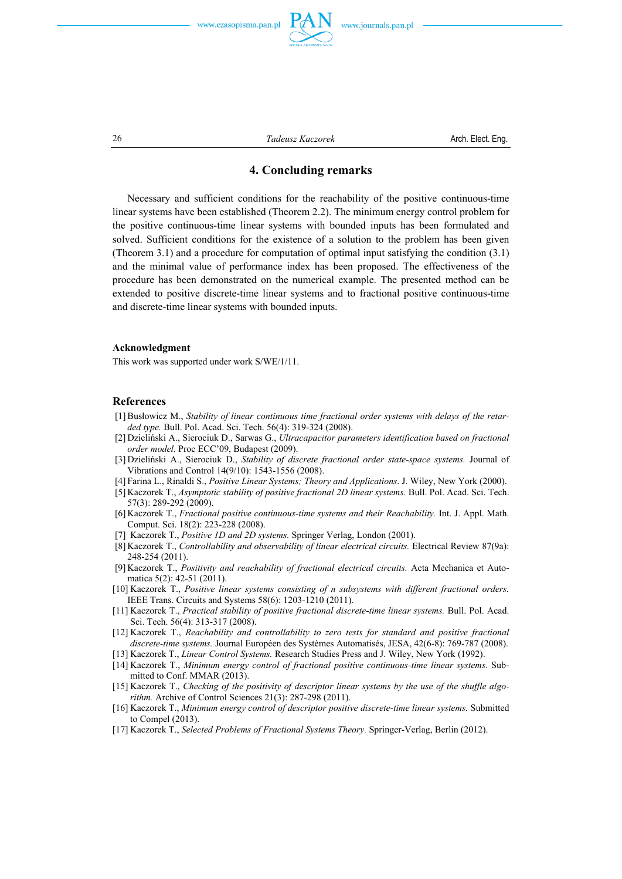



26 *Tadeusz Kaczorek* Arch. Elect. Eng.

# **4. Concluding remarks**

 Necessary and sufficient conditions for the reachability of the positive continuous-time linear systems have been established (Theorem 2.2). The minimum energy control problem for the positive continuous-time linear systems with bounded inputs has been formulated and solved. Sufficient conditions for the existence of a solution to the problem has been given (Theorem 3.1) and a procedure for computation of optimal input satisfying the condition (3.1) and the minimal value of performance index has been proposed. The effectiveness of the procedure has been demonstrated on the numerical example. The presented method can be extended to positive discrete-time linear systems and to fractional positive continuous-time and discrete-time linear systems with bounded inputs.

## **Acknowledgment**

This work was supported under work S/WE/1/11.

## **References**

- [1] Busłowicz M., *Stability of linear continuous time fractional order systems with delays of the retarded type.* Bull. Pol. Acad. Sci. Tech. 56(4): 319-324 (2008).
- [2] Dzieliński A., Sierociuk D., Sarwas G., *Ultracapacitor parameters identification based on fractional order model.* Proc ECC'09, Budapest (2009).
- [3] Dzieliński A., Sierociuk D., *Stability of discrete fractional order state-space systems.* Journal of Vibrations and Control 14(9/10): 1543-1556 (2008).
- [4] Farina L., Rinaldi S., *Positive Linear Systems; Theory and Applications*. J. Wiley, New York (2000).
- [5] Kaczorek T., *Asymptotic stability of positive fractional 2D linear systems.* Bull. Pol. Acad. Sci. Tech. 57(3): 289-292 (2009).
- [6] Kaczorek T., *Fractional positive continuous-time systems and their Reachability.* Int. J. Appl. Math. Comput. Sci. 18(2): 223-228 (2008).
- [7] Kaczorek T., *Positive 1D and 2D systems.* Springer Verlag, London (2001).
- [8] Kaczorek T., *Controllability and observability of linear electrical circuits.* Electrical Review 87(9a): 248-254 (2011).
- [9] Kaczorek T., *Positivity and reachability of fractional electrical circuits.* Acta Mechanica et Automatica 5(2): 42-51 (2011).
- [10] Kaczorek T., *Positive linear systems consisting of n subsystems with different fractional orders.* IEEE Trans. Circuits and Systems 58(6): 1203-1210 (2011).
- [11] Kaczorek T., *Practical stability of positive fractional discrete-time linear systems.* Bull. Pol. Acad. Sci. Tech. 56(4): 313-317 (2008).
- [12] Kaczorek T., *Reachability and controllability to zero tests for standard and positive fractional discrete-time systems.* Journal Européen des Systèmes Automatisés, JESA, 42(6-8): 769-787 (2008).
- [13] Kaczorek T., *Linear Control Systems.* Research Studies Press and J. Wiley, New York (1992).
- [14] Kaczorek T., *Minimum energy control of fractional positive continuous-time linear systems.* Submitted to Conf. MMAR (2013).
- [15] Kaczorek T., *Checking of the positivity of descriptor linear systems by the use of the shuffle algorithm.* Archive of Control Sciences 21(3): 287-298 (2011).
- [16] Kaczorek T., *Minimum energy control of descriptor positive discrete-time linear systems.* Submitted to Compel (2013).
- [17] Kaczorek T., *Selected Problems of Fractional Systems Theory.* Springer-Verlag, Berlin (2012).